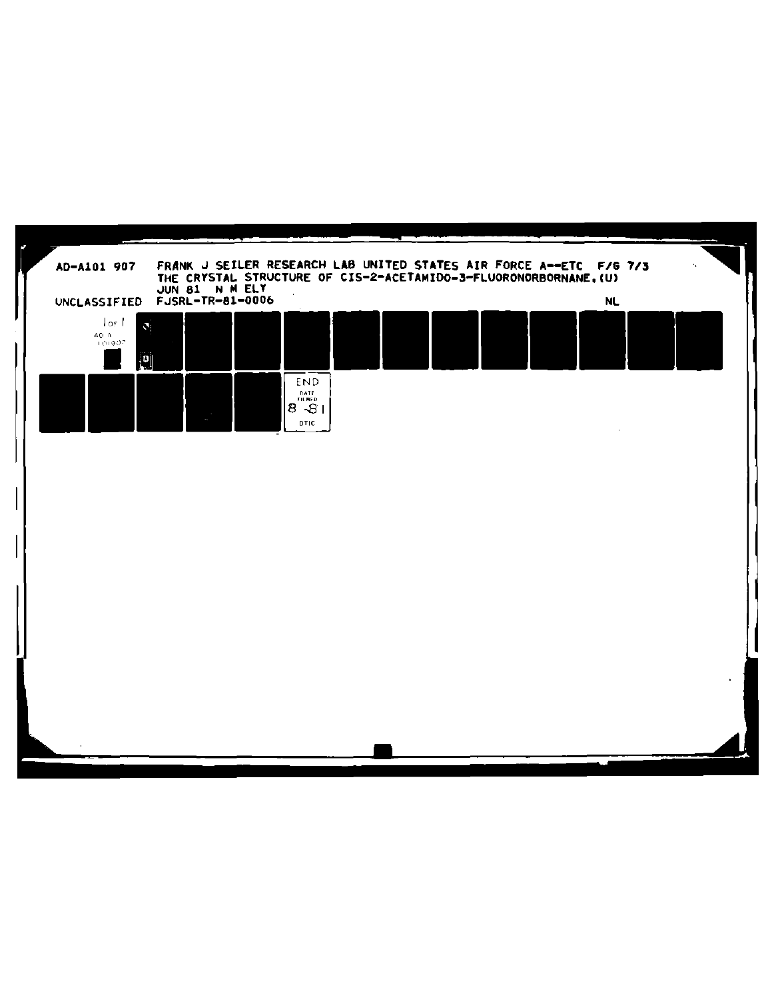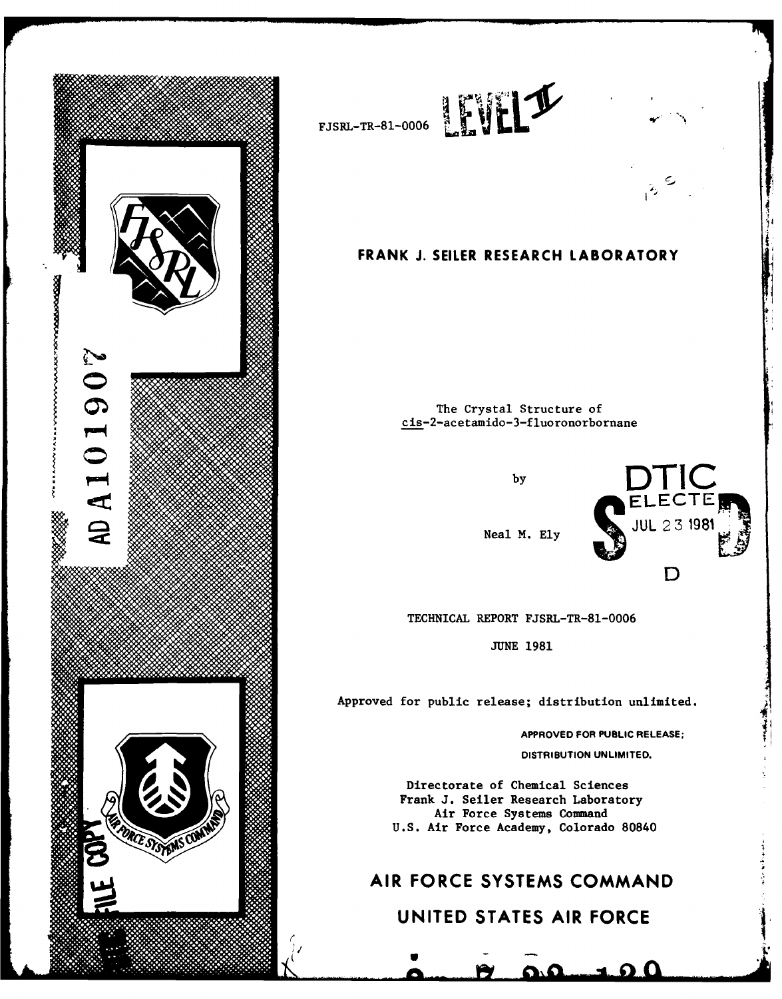

**(/I**



## **FRANK J. SELLER RESEARCH LABORATORY**

The Crystal Structure of cis-2-acetamido-3-fluoronorbornane



TECHNICAL REPORT FJSRL-TR-81-0006

JUNE 1981

Approved for public release; distribution unlimited.

**APPROVED FOR PUBLIC RELEASE;**

**DISTRIBUTION UNLIMITED.**

Directorate of Chemical Sciences Frank **J.** Seiler Research Laboratory Air Force Systems Command **U.S.** Air Force Academy, Colorado 80840

# AIR FORCE **SYSTEMS COMMAND**

# **UNITED STATES** AIR FORCE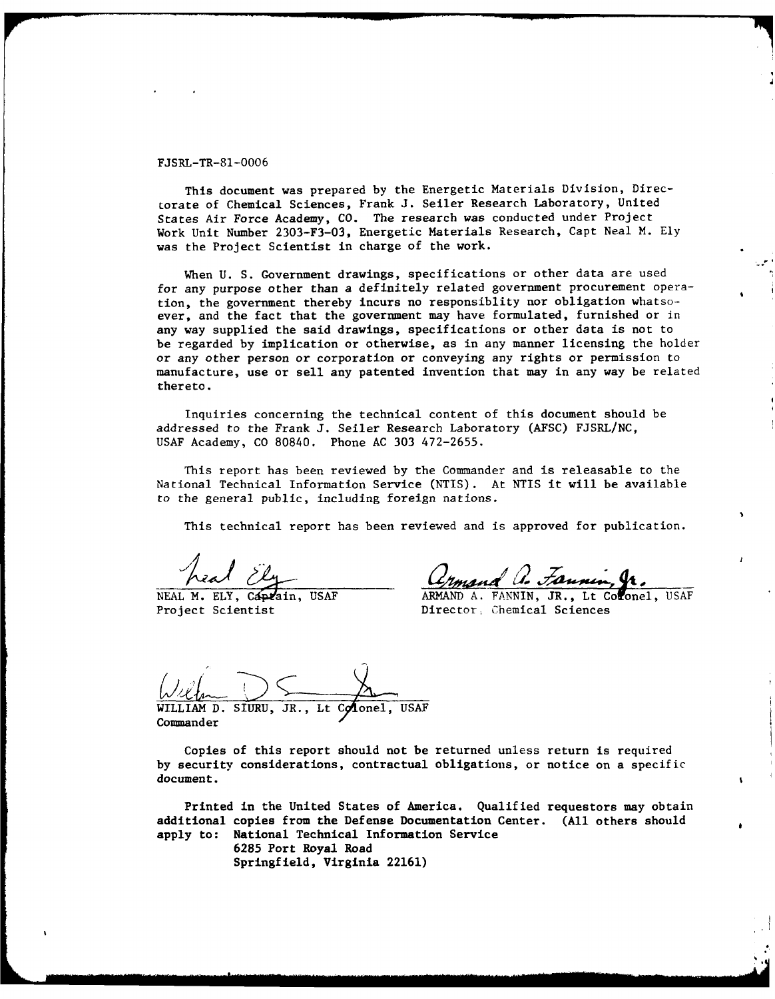#### FJSRL-TR-81-0006

This document was prepared by the Energetic Materials Division, Directorate of Chemical Sciences, Frank **J.** Seiler Research Laboratory, United States Air Force Academy, CO. The research was conducted under Project Work Unit Number 2303-F3-03, Energetic Materials Research, Capt Neal M. Ely was the Project Scientist in charge of the work.

When U. S. Government drawings, specifications or other data are used for any purpose other than a definitely related government procurement operation, the government thereby incurs no responsiblity nor obligation whatsoever, and the fact that the government may have formulated, furnished or in any way supplied the said drawings, specifications or other data is not to be regarded by implication or otherwise, as in any manner licensing the holder or any other person or corporation or conveying any rights or permission to manufacture, use or sell any patented invention that may in any way be related thereto.

Inquiries concerning the technical content of this document should be addressed to the Frank J. Seiler Research Laboratory (AFSC) FJSRL/NC, USAF Academy, CO 80840. Phone AC 303 472-2655.

This report has been reviewed by the Commander and is releasable to the National Technical Information Service (NTIS). At NTIS it will be available to the general public, including foreign nations.

This technical report has been reviewed and is approved for publication.

head Ely

heal Ely<br>NEAL M. ELY, Captain, USAF **ARMAND A. FANNIN, JR., Lt Colonel**, USAF<br>Project Scientist **Director, Chemical Sciences** Director, Chemical Sciences

 $\bigcup_{\mathcal{U}}\bigcup_{\mathcal{U}}\bigcap_{\mathcal{U}}$  SIURU, JR., Lt Colonel, USAF

**Commander** 

Copies of this report should not be returned unless return is required by security considerations, contractual obligations, or notice on a specific document.

Printed in the United States of America. Qualified requestors may obtain additional copies from the Defense Documentation Center. (All others should apply to: National Technical Information Service 6285 Port Royal Road Springfield, Virginia 22161)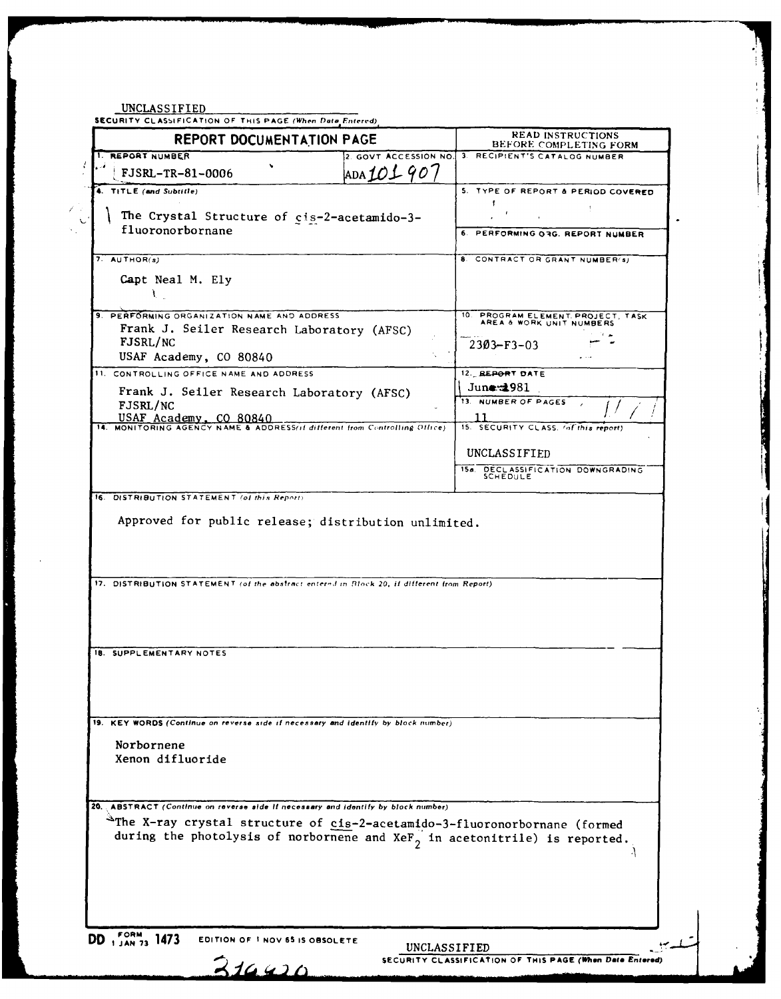INIOI ACCEPTER

|                                                                                                                                                              | <b>REPORT DOCUMENTATION PAGE</b> | READ INSTRUCTIONS<br>BEFORE COMPLETING FORM                   |
|--------------------------------------------------------------------------------------------------------------------------------------------------------------|----------------------------------|---------------------------------------------------------------|
| 1. REPORT NUMBER                                                                                                                                             | 2. GOVT ACCESSION NO.            | 3. RECIPIENT'S CATALOG NUMBER                                 |
| FJSRL-TR-81-0006                                                                                                                                             | ADAIOL907                        |                                                               |
| 4. TITLE (and Subtitle)                                                                                                                                      |                                  | 5. TYPE OF REPORT & PERIOD COVERED                            |
|                                                                                                                                                              |                                  |                                                               |
| The Crystal Structure of cis-2-acetamido-3-                                                                                                                  |                                  |                                                               |
| fluoronorbornane                                                                                                                                             |                                  | 6. PERFORMING 03G. REPORT NUMBER                              |
|                                                                                                                                                              |                                  |                                                               |
| $7.$ AUTHOR(s)                                                                                                                                               |                                  | 8. CONTRACT OR GRANT NUMBER(s)                                |
| Capt Neal M. Ely                                                                                                                                             |                                  |                                                               |
| Ì.                                                                                                                                                           |                                  |                                                               |
| 9. PERFORMING ORGANIZATION NAME AND ADDRESS                                                                                                                  |                                  | 10. PROGRAM ELEMENT PROJECT, TASK<br>AREA & WORK UNIT NUMBERS |
| Frank J. Seiler Research Laboratory (AFSC)                                                                                                                   |                                  |                                                               |
| FJSRL/NC                                                                                                                                                     |                                  | $2303 - F3 - 03$                                              |
| USAF Academy, CO 80840                                                                                                                                       |                                  |                                                               |
| 11. CONTROLLING OFFICE NAME AND ADDRESS                                                                                                                      |                                  | 12. REPORT DATE<br>June $\pm 981$                             |
| Frank J. Seiler Research Laboratory (AFSC)                                                                                                                   |                                  | 13. NUMBER OF PAGES                                           |
| FJSRL/NC                                                                                                                                                     |                                  |                                                               |
| USAF ACademy, CO 80840                                                                                                                                       |                                  | 15. SECURITY CLASS. (of this report)                          |
|                                                                                                                                                              |                                  |                                                               |
|                                                                                                                                                              |                                  | UNCLASSIFIED                                                  |
|                                                                                                                                                              |                                  | 15a. DECLASSIFICATION DOWNGRADING<br><b>SCHEDULE</b>          |
|                                                                                                                                                              |                                  |                                                               |
| 16. DISTRIBUTION STATEMENT (of this Report).<br>Approved for public release; distribution unlimited.                                                         |                                  |                                                               |
| 17. DISTRIBUTION STATEMENT (of the abstract enternd in Block 20, if different from Report)                                                                   |                                  |                                                               |
|                                                                                                                                                              |                                  |                                                               |
| 18. SUPPLEMENTARY NOTES                                                                                                                                      |                                  |                                                               |
|                                                                                                                                                              |                                  |                                                               |
| KEY WORDS (Continue on reverse side if necessary and identify by block number)                                                                               |                                  |                                                               |
| Norbornene                                                                                                                                                   |                                  |                                                               |
| Xenon difluoride                                                                                                                                             |                                  |                                                               |
|                                                                                                                                                              |                                  |                                                               |
|                                                                                                                                                              |                                  |                                                               |
| 20. ABSTRACT (Continue on reverse side if necessary and identify by block number)                                                                            |                                  |                                                               |
| The X-ray crystal structure of cis-2-acetamido-3-fluoronorbornane (formed<br>during the photolysis of norbornene and $XeF_{2}$ in acetonitrile) is reported. |                                  |                                                               |
|                                                                                                                                                              |                                  |                                                               |
|                                                                                                                                                              |                                  |                                                               |

DD 1 JAN 73 1473 EDITION OF 1 NOV 65 IS OBSOLETE

 $314420$ 

UNCLASSIFIED<br>SECURITY CLASSIFICATION OF THIS PAGE (When Data Entered)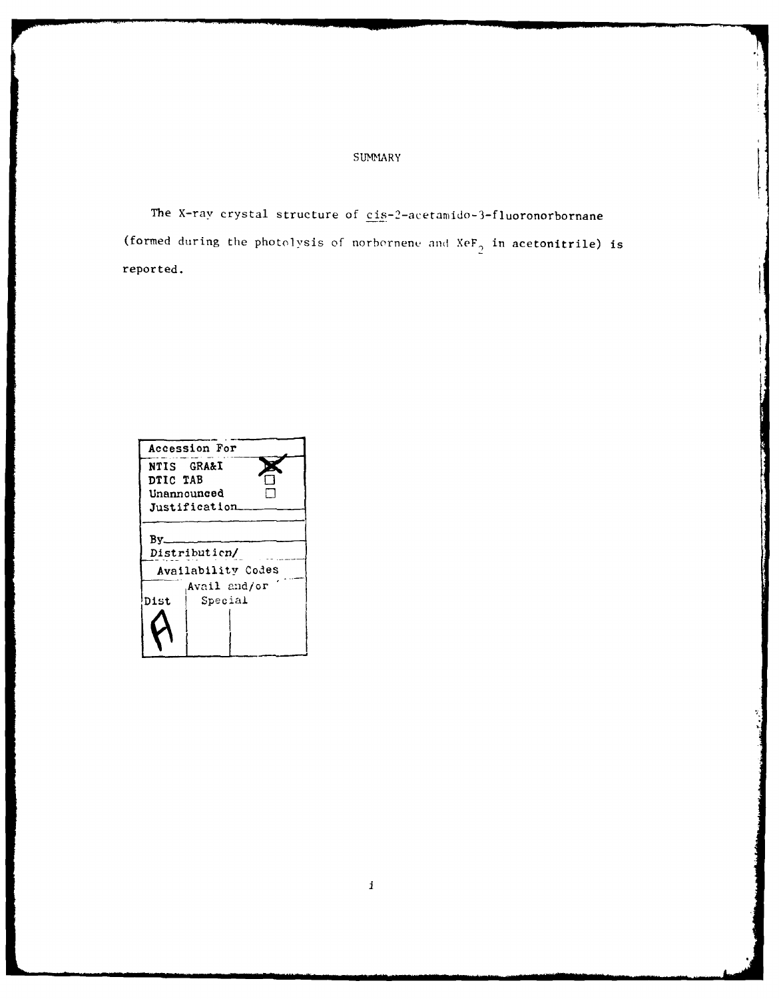### SUMMARY

The X-ray crystal structure of cis-2-acetamido-3-fluoronorbornane (formed during the photolysis of norbernene and  $XeF_2$  in acetonitrile) is reported.

|                                            | Accession For |  |  |  |  |  |  |
|--------------------------------------------|---------------|--|--|--|--|--|--|
|                                            | NTIS GRA&I    |  |  |  |  |  |  |
| DTIC TAB                                   |               |  |  |  |  |  |  |
| Unannounced                                |               |  |  |  |  |  |  |
|                                            | Justification |  |  |  |  |  |  |
| Bv_<br>Distribution/<br>Availability Codes |               |  |  |  |  |  |  |
|                                            | Avail and/or  |  |  |  |  |  |  |
| Dist                                       | Special       |  |  |  |  |  |  |
|                                            |               |  |  |  |  |  |  |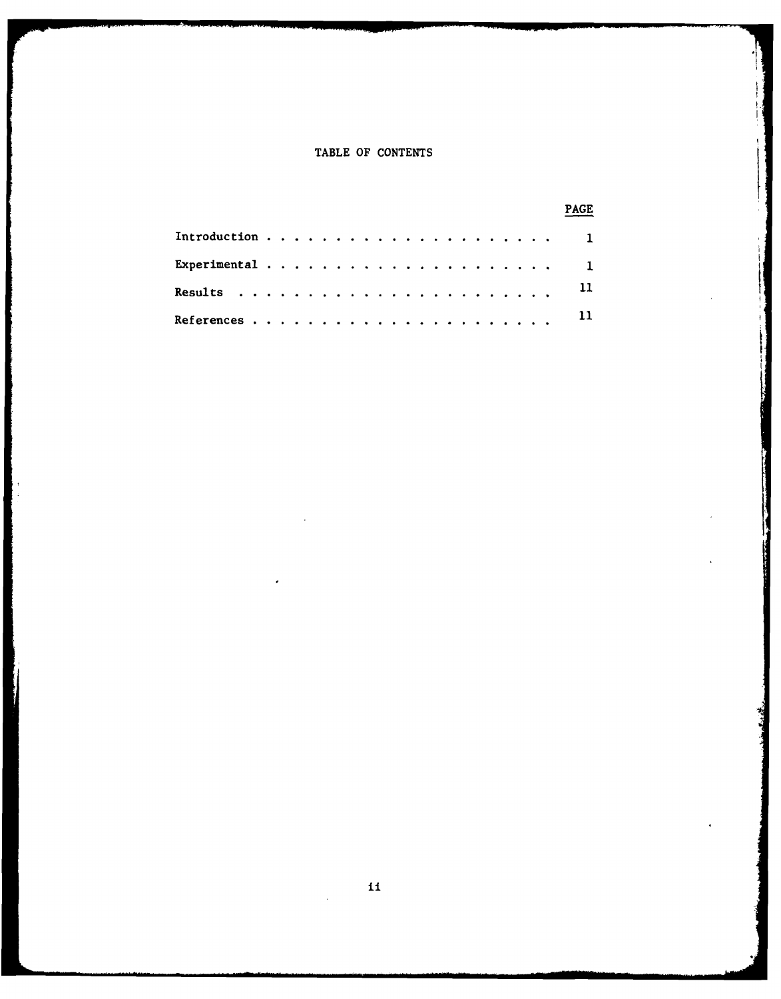### TABLE OF **CONTENTS**

| Experimental $\cdots$ , 1 |  |  |  |  |  |  |  |  |  |  |               |
|---------------------------|--|--|--|--|--|--|--|--|--|--|---------------|
|                           |  |  |  |  |  |  |  |  |  |  |               |
|                           |  |  |  |  |  |  |  |  |  |  | $\mathbf{11}$ |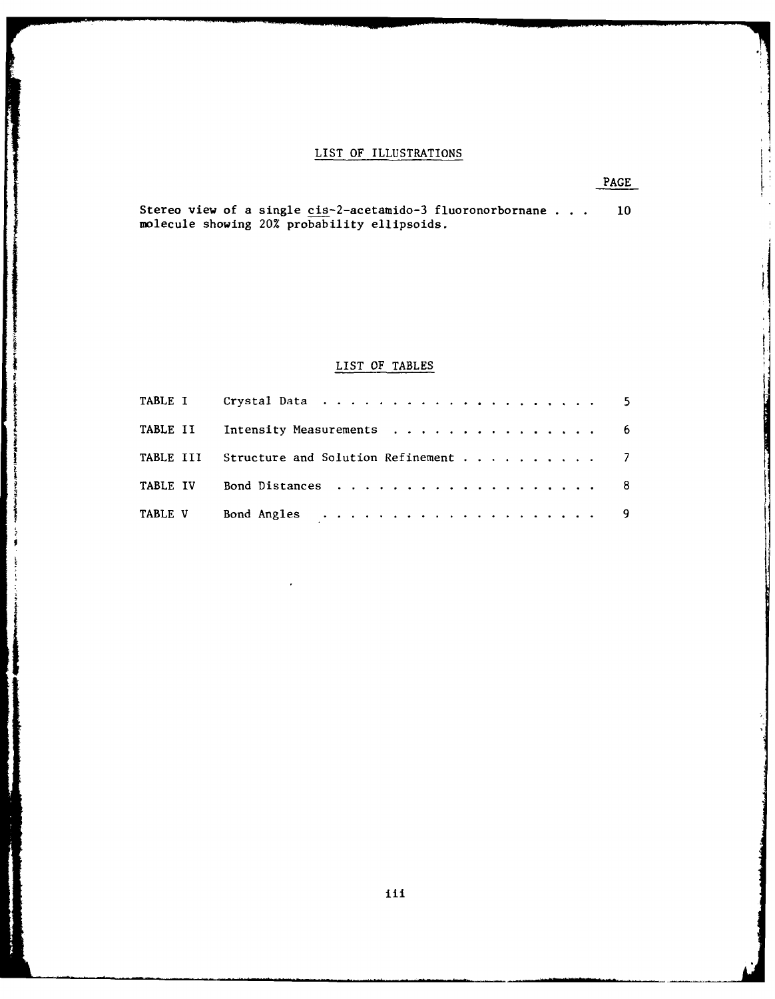### LIST OF ILLUSTRATIONS

PAGE

Stereo view of a single cis-2-acetamido-3 fluoronorbornane . **. . 10** molecule showing 20% probability ellipsoids.

### LIST OF TABLES

|  | TABLE II Intensity Measurements 6             |  |
|--|-----------------------------------------------|--|
|  | TABLE III Structure and Solution Refinement 7 |  |
|  | TABLE IV Bond Distances 8                     |  |
|  |                                               |  |

 $+$   $-$ 

Į.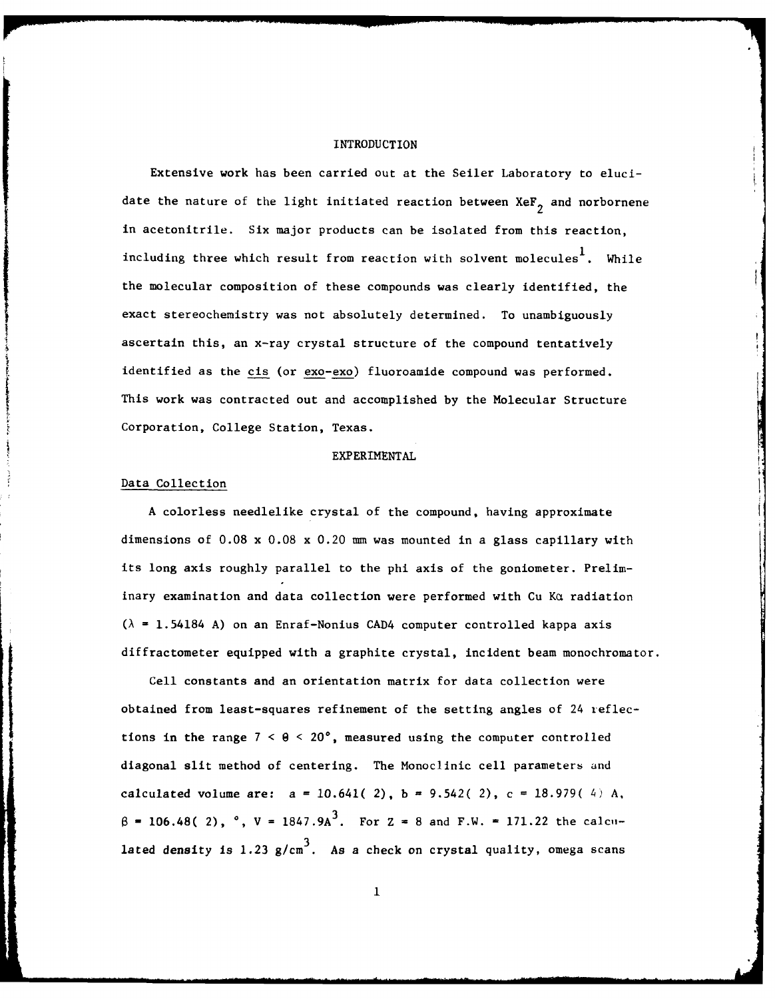#### INTRODUCTION

Extensive work has been carried out at the Seiler Laboratory to elucidate the nature of the light initiated reaction between  $X \in \mathbb{F}_2$  and norbornene in acetonitrile. Six major products can be isolated from this reaction, including three which result from reaction with solvent molecules<sup>1</sup>. While the molecular composition of these compounds was clearly identified, the exact stereochemistry was not absolutely determined. To unambiguously ascertain this, an x-ray crystal structure of the compound tentatively identified as the cis (or exo-exo) fluoroamide compound was performed. This work was contracted out and accomplished by the Molecular Structure Corporation, College Station, Texas.

#### EXPERIMENTAL

#### Data Collection

A colorless needlelike crystal of the compound, having approximate dimensions of 0.08 x 0.08 x 0.20 mm was mounted in a glass capillary with its long axis roughly parallel to the phi axis of the goniometer. Preliminary examination and data collection were performed with Cu Ka radiation  $(\lambda = 1.54184 \text{ A})$  on an Enraf-Nonius CAD4 computer controlled kappa axis diffractometer equipped with a graphite crystal, incident beam monochromator.

Cell constants and an orientation matrix for data collection were obtained from least-squares refinement of the setting angles of 24 reflections in the range  $7 < \theta < 20^\circ$ , measured using the computer controlled diagonal slit method of centering. The Monoclinic cell parameters and calculated volume are:  $a = 10.641(2)$ ,  $b = 9.542(2)$ ,  $c = 18.979(4)$  A,  $\beta = 106.48(2)$ ,  $\degree$ ,  $V = 1847.9 \text{A}^3$ . For  $Z = 8$  and F.W. = 171.22 the calcu- $1$ ated density is  $1.23$   $g/cm<sup>3</sup>$ . As a check on crystal quality, omega scans

 $\mathbf{1}$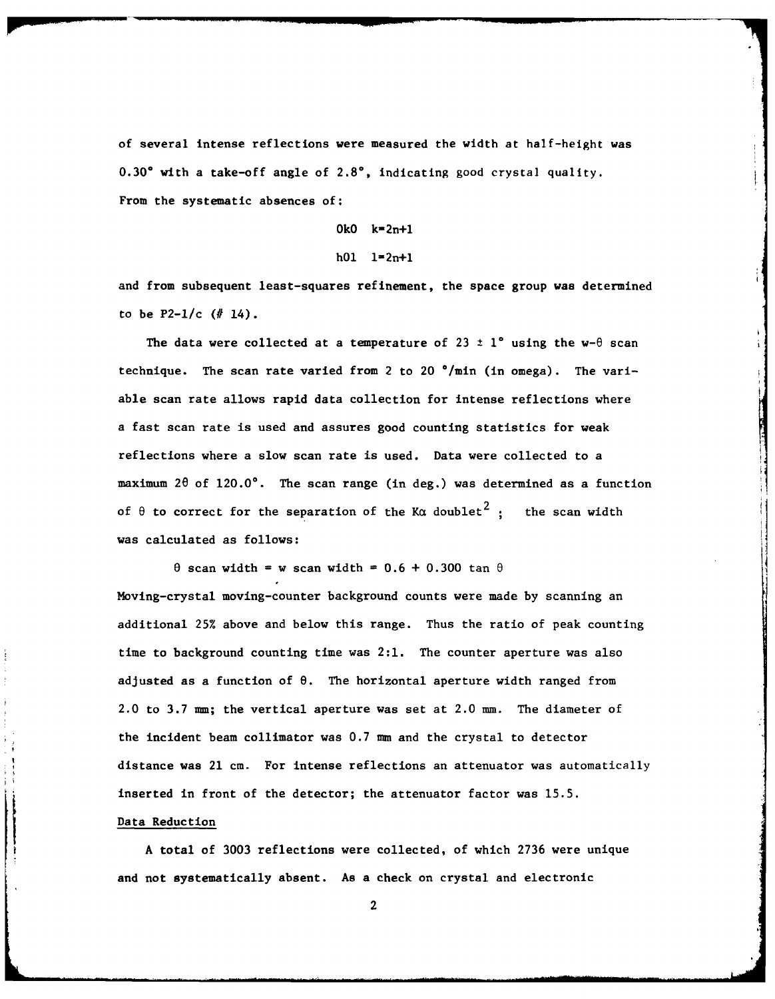of several intense reflections were measured the width at half-height was **0.300** with a take-off angle of **2.80,** indicating good crystal quality. From the systematic absences **of:**

**OkO** k-2n+l

#### h01  $1=2n+1$

and from subsequent least-squares refinement, the space group was determined to be P2-1/c **(#** 14).

The data were collected at a temperature of 23  $\pm$  1° using the w- $\theta$  scan technique. The scan rate varied from 2 to 20 \*/min (in omega). The variable scan rate allows rapid data collection for intense reflections where a fast scan rate is used and assures good counting statistics for weak reflections where a slow scan rate is used. Data were collected to a maximum  $2\theta$  of  $120.0^\circ$ . The scan range (in deg.) was determined as a function of  $\theta$  to correct for the separation of the Ka doublet<sup>2</sup>: the scan width was calculated as follows:

 $\theta$  scan width = w scan width =  $0.6 + 0.300$  tan  $\theta$ Moving-crystal moving-counter background counts were made by scanning an additional 25% above and below this range. Thus the ratio of peak counting time to background counting time was 2:1. The counter aperture was also adjusted as a function of **8.** The horizontal aperture width ranged from 2.0 to 3.7 mm; the vertical aperture was set at 2.0 mm. The diameter of the incident beam collimator was 0.7 mm and the crystal to detector distance was 21 cm. For intense reflections an attenuator was automatically inserted in front of the detector; the attenuator factor was 15.5.

#### Data Reduction

**A** total of **3003** reflections were collected, of which 2736 were unique and not systematically absent. **As** a check on crystal and electronic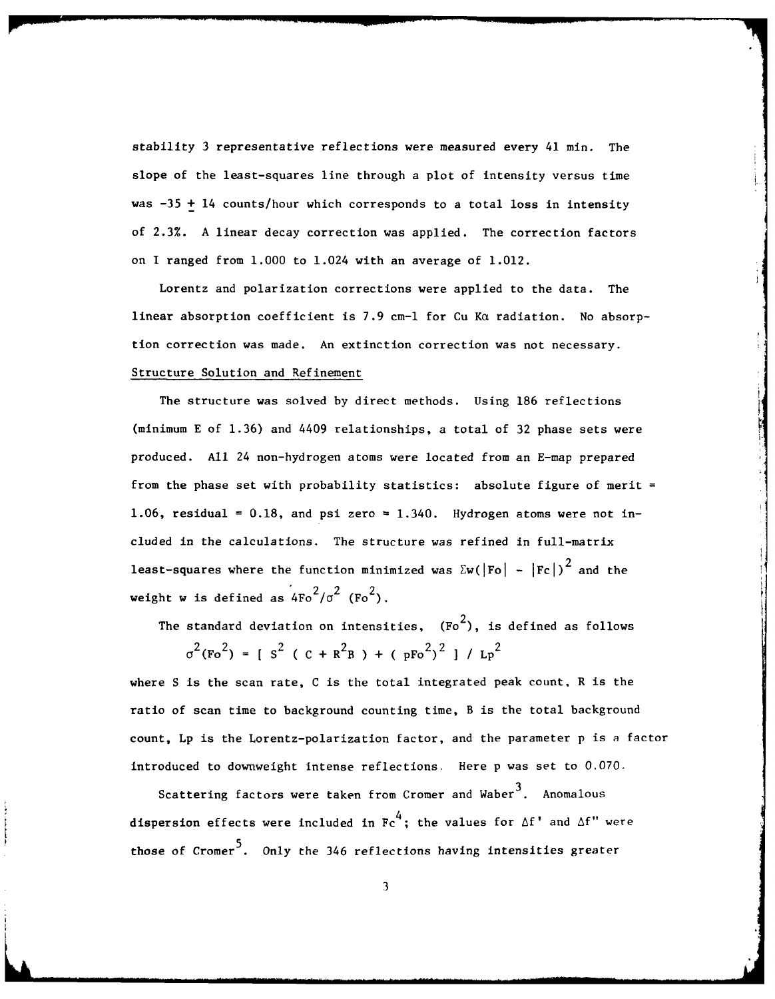stability 3 representative reflections were measured every 41 min. The slope of the least-squares line through a plot of intensity versus time was  $-35 + 14$  counts/hour which corresponds to a total loss in intensity of 2.3%. A linear decay correction was applied. The correction factors on I ranged from 1.000 to 1.024 with an average of 1.012.

Lorentz and polarization corrections were applied to the data. The linear absorption coefficient is 7.9 cm-1 for Cu K $\alpha$  radiation. No absorption correction was made. An extinction correction was not necessary. Structure Solution and Refinement

The structure was solved by direct methods. Using 186 reflections (minimum E of 1.36) and 4409 relationships, a total of 32 phase sets were produced. **All** 24 non-hydrogen atoms were located from an E-map prepared from the phase set with probability statistics: absolute figure of merit = 1.06, residual =  $0.18$ , and psi zero =  $1.340$ . Hydrogen atoms were not included in the calculations. The structure was refined in full-matrix least-squares where the function minimized was  $\sum w(|Fo| - |Fc|)^2$  and the weight w is defined as  $4Fo^2/\sigma^2$  (Fo<sup>2</sup>).

The standard deviation on intensities,  $(Fo^2)$ , is defined as follows

 $\sigma^2$ (Fo<sup>2</sup>) = [ S<sup>2</sup> ( C + R<sup>2</sup>B ) + ( pFo<sup>2</sup>)<sup>2</sup> ] / Lp<sup>2</sup>

where S is the scan rate, C is the total integrated peak count. R is the ratio of scan time to background counting time, B is the total background count, Lp is the Lorentz-polarization factor, and the parameter p is a factor introduced to downweight intense reflections. Here p was set to 0.070.

Scattering factors were taken from Cromer and Waber<sup>3</sup>. Anomalous dispersion effects were included in  $\text{Fc}^4$ ; the values for  $\Delta f'$  and  $\Delta f''$  were those of Cromer<sup>5</sup>. Only the 346 reflections having intensities greater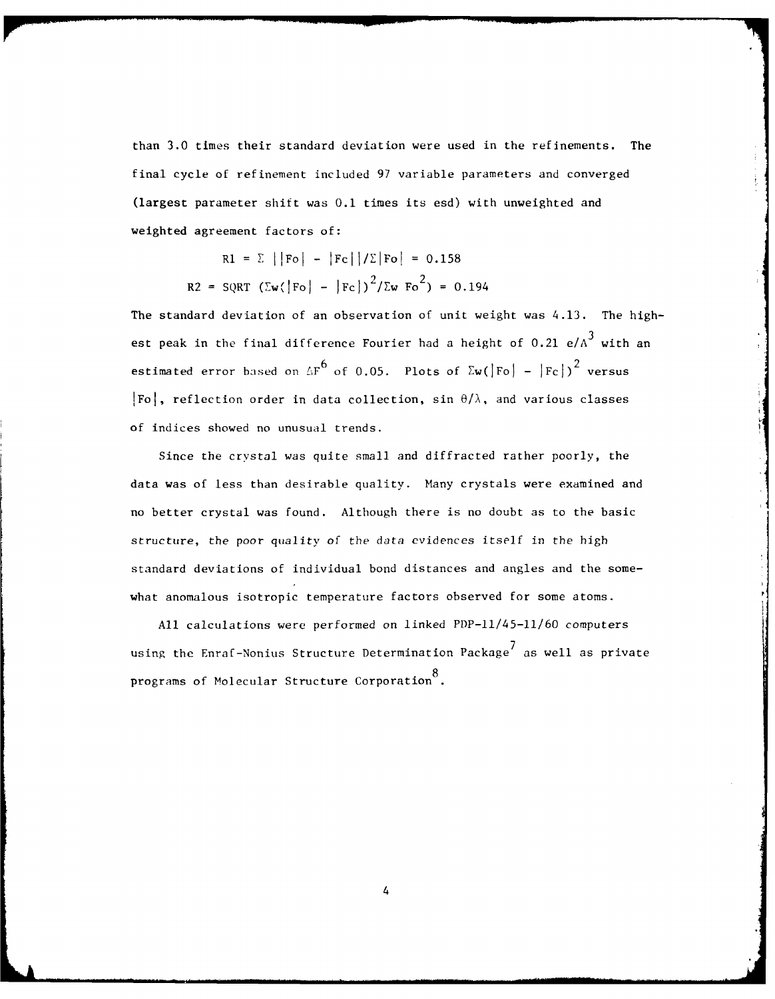than 3.0 times their standard deviation were used in the refinements. The final cycle of refinement included 97 variable parameters and converged (largest parameter shift was **0.1** times its esd) with unweighted and weighted agreement factors of:

$$
RI = \sum ||Fo| - |Fc||/\Sigma|Fo| = 0.158
$$
  

$$
R2 = SQRT (\Sigma w (|Fo| - |Fc|)^2 / \Sigma w Fo^2) = 0.194
$$

The standard deviation of an observation of unit weight was 4.13. The highest peak in the final difference Fourier had a height of  $0.21 e/A<sup>3</sup>$  with an estimated error based on  $\Delta F^6$  of 0.05. Plots of  $\sum w(\vert F_0 \vert - \vert F_C \vert)^2$  versus  $|F_0|$ , reflection order in data collection, sin  $\theta/\lambda$ , and various classes of indices showed no unusual trends.

Since the crystal was quite small and diffracted rather poorly, the data was of less than desirable quality. Many crystals were examined and no better crystal was found. Although there is no doubt as to the basic structure, the poor quality of the data evidences itself in the high standard deviations of individual bond distances and angles and the somewhat anomalous isotropic temperature factors observed for some atoms.

All calculations were performed on linked PDP-ll/45-11/60 computers 7 using the Enraf-Nonius Structure Determination Package $^\prime$  as well as private 8 programs of Molecular Structure Corporation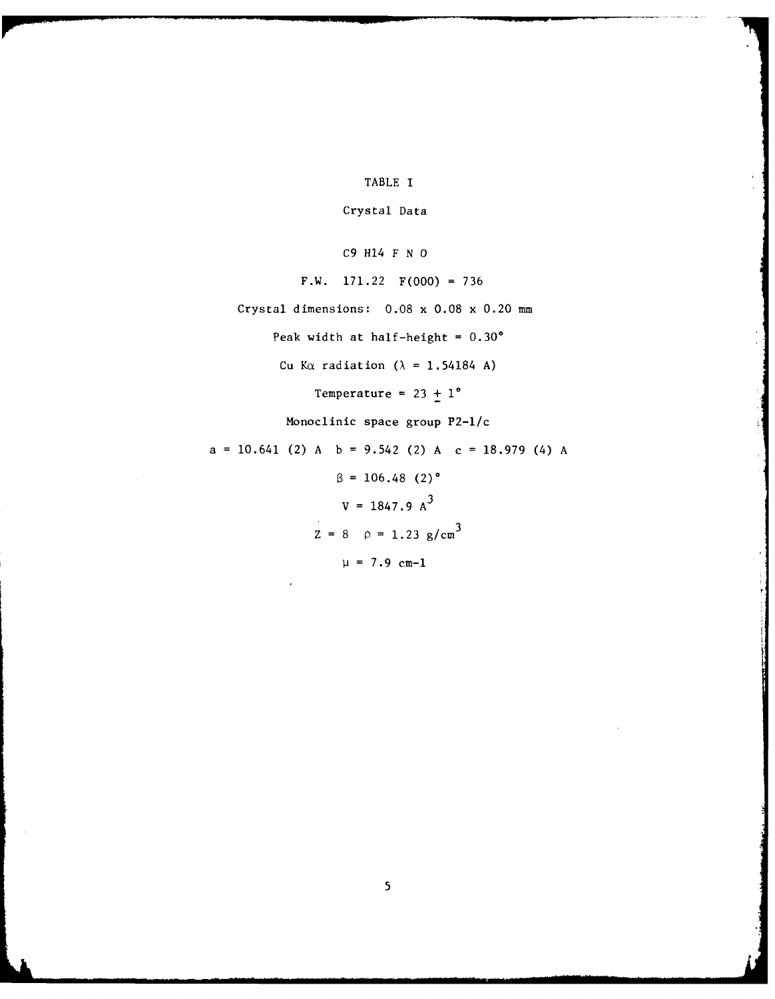TABLE I

Crystal Data

**C9** H14 F **N 0**

F.W. **171.22** F(000) **=736**

Crystal dimensions: **0.08** x **0.08** x 0.20 mmn

Peak width at half-height **= 0.30'**

Cu K $\alpha$  radiation ( $\lambda$  = 1.54184 A)

Temperature =  $23 + 1^{\circ}$ 

Monoclinic space group P2-1/c

 $a = 10.641$  (2)  $A \quad b = 9.542$  (2)  $A \quad c = 18.979$  (4)  $A$ 

 $\beta = 106.48$  (2)<sup>o</sup>  $V = 1847.9 A<sup>3</sup>$  $Z = 8$   $\rho = 1.23$  g/cm<sup>3</sup>  $\mu = 7.9 \text{ cm} - 1$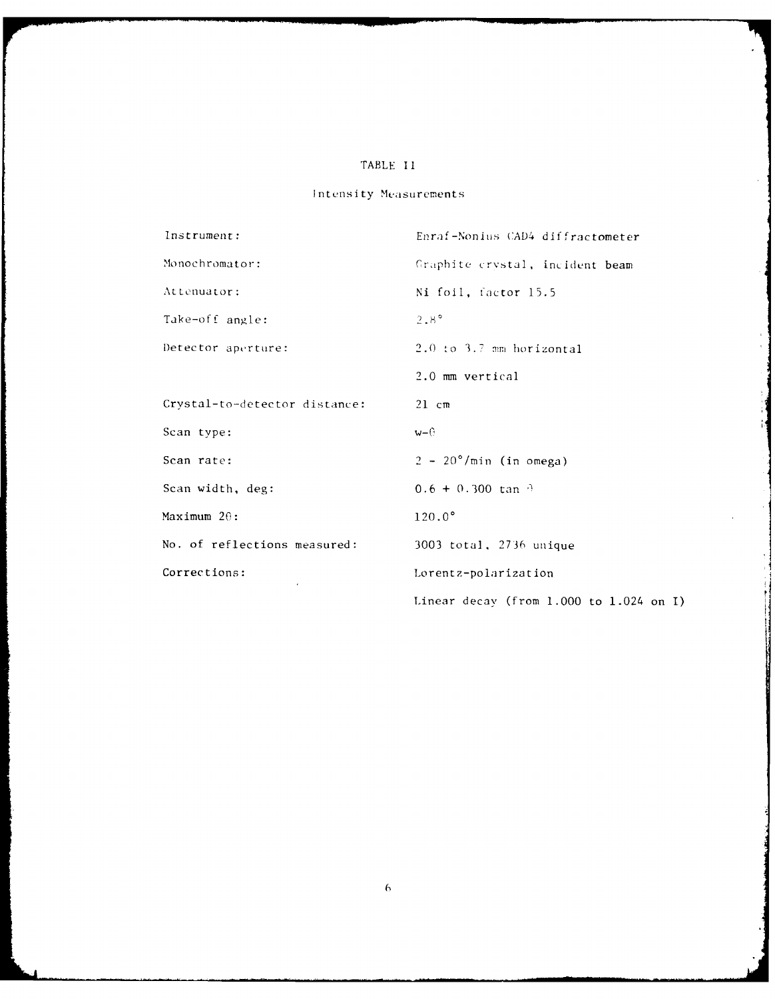### TABLE I **I**

## Intensity Measurements

| Instrument:                   | Enraf-Nonius CAD4 diffractometer        |  |  |  |  |  |  |
|-------------------------------|-----------------------------------------|--|--|--|--|--|--|
| Monochromator:                | Graphite crystal, incident beam         |  |  |  |  |  |  |
| Attenuator:                   | Ni foil, factor 15.5                    |  |  |  |  |  |  |
| Take-off angle:               | $2.8^\circ$                             |  |  |  |  |  |  |
| Detector aperture:            | $2.0$ to $3.7$ mm horizontal            |  |  |  |  |  |  |
|                               | 2.0 mm vertical                         |  |  |  |  |  |  |
| Crystal-to-detector distance: | $21$ cm                                 |  |  |  |  |  |  |
| Scan type:                    | w–⊕                                     |  |  |  |  |  |  |
| Scan rate:                    | $2 - 20^{\circ}/\text{min}$ (in omega)  |  |  |  |  |  |  |
| Scan width, deg:              | $0.6 + 0.300$ tan $\theta$              |  |  |  |  |  |  |
| Maximum $2\theta$ :           | $120.0^\circ$                           |  |  |  |  |  |  |
| No. of reflections measured:  | 3003 total, 2736 unique                 |  |  |  |  |  |  |
| Corrections:                  | Lorentz-polarization                    |  |  |  |  |  |  |
|                               | Linear decay (from 1.000 to 1.024 on I) |  |  |  |  |  |  |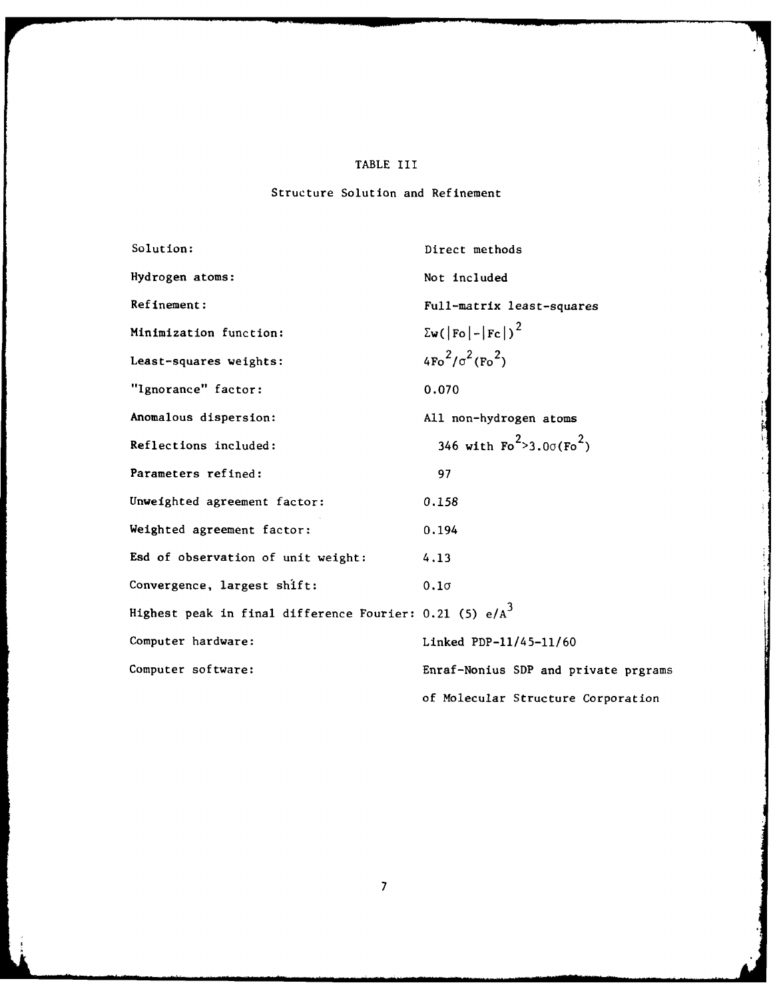#### TABLE III

#### Structure Solution and Refinement

Solution: Direct methods Hydrogen atoms: Not included Refinement: Full-matrix least-squares Minimization function:  $\sum w(|F_0| - |F_C|)^2$ Least-squares weights:  $4F_0^2/\sigma^2(F_0^2)$ "Ignorance" factor: 0.070 Anomalous dispersion:  $\qquad \qquad \text{A11 non-hydrogen atoms}$ Reflections included:  $346$  with  $Fo^2 > 3.0\sigma(Fo^2)$ Parameters refined: 97 Unweighted agreement factor: 0.158 Weighted agreement factor: 0.194 Esd of observation of unit weight: 4.13 Convergence, largest shift: **0.l** Highest peak in final difference Fourier: 0.21 (5)  $e/A^3$ Computer hardware: Linked PDP-11/45-11/60 Computer software: Enraf-Nonius SDP and private prgrams of Molecular Structure Corporation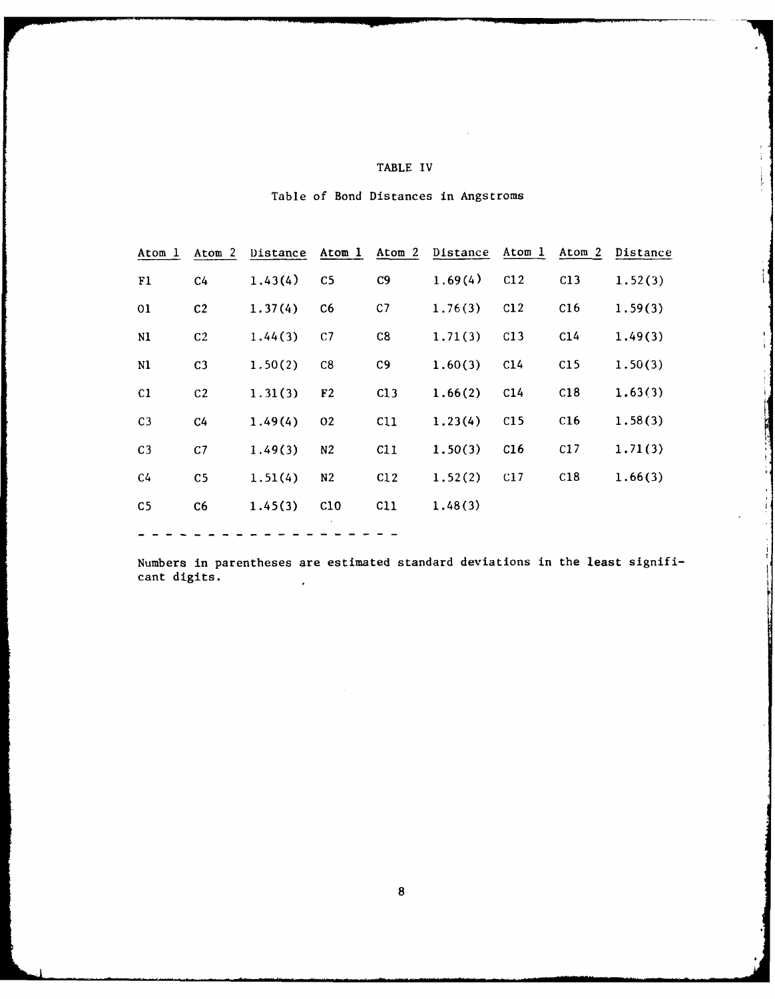| TABLE |  |  |
|-------|--|--|
|       |  |  |

 $\begin{smallmatrix} 1 & 1 \\ 1 & 1 \end{smallmatrix}$ 

ţ,

 $\frac{1}{2}$ 

| Table of Bond Distances in Angstroms |  |  |  |  |  |  |  |  |
|--------------------------------------|--|--|--|--|--|--|--|--|
|--------------------------------------|--|--|--|--|--|--|--|--|

| Atom 1         | Atom 2         | Distance | Atom 1         | Atom 2   | Distance Atom 1 |                 | Atom 2 | Distance |
|----------------|----------------|----------|----------------|----------|-----------------|-----------------|--------|----------|
| F1             | C <sub>4</sub> | 1.43(4)  | C <sub>5</sub> | C9       | 1.69(4)         | C12             | C13    | 1.52(3)  |
| 01             | C <sub>2</sub> | 1.37(4)  | C <sub>6</sub> | C7       | 1.76(3)         | C12             | C16    | 1.59(3)  |
| N1             | C <sub>2</sub> | 1.44(3)  | C <sub>1</sub> | C8       | 1.71(3)         | C13             | C14    | 1.49(3)  |
| N1             | C <sub>3</sub> | 1.50(2)  | C8             | C9       | 1.60(3)         | C14             | C15    | 1.50(3)  |
| C1             | C <sub>2</sub> | 1.31(3)  | F <sub>2</sub> | C13      | 1.66(2)         | C <sub>14</sub> | C18    | 1.63(3)  |
| C <sub>3</sub> | C <sub>4</sub> | 1.49(4)  | 02             | C11      | 1.23(4)         | C15             | C16    | 1.58(3)  |
| C <sub>3</sub> | C <sub>1</sub> | 1.49(3)  | N <sub>2</sub> | C11      | 1.50(3)         | C16             | C17    | 1.71(3)  |
| C <sub>4</sub> | C5             | 1.51(4)  | N <sub>2</sub> | C12      | 1.52(2)         | C17             | C18    | 1.66(3)  |
| C <sub>5</sub> | C6             | 1.45(3)  | C10            | $c_{11}$ | 1.48(3)         |                 |        |          |
|                |                |          |                |          |                 |                 |        |          |

Numbers in parentheses are estimated standard deviations in the least significant digits.  $\epsilon$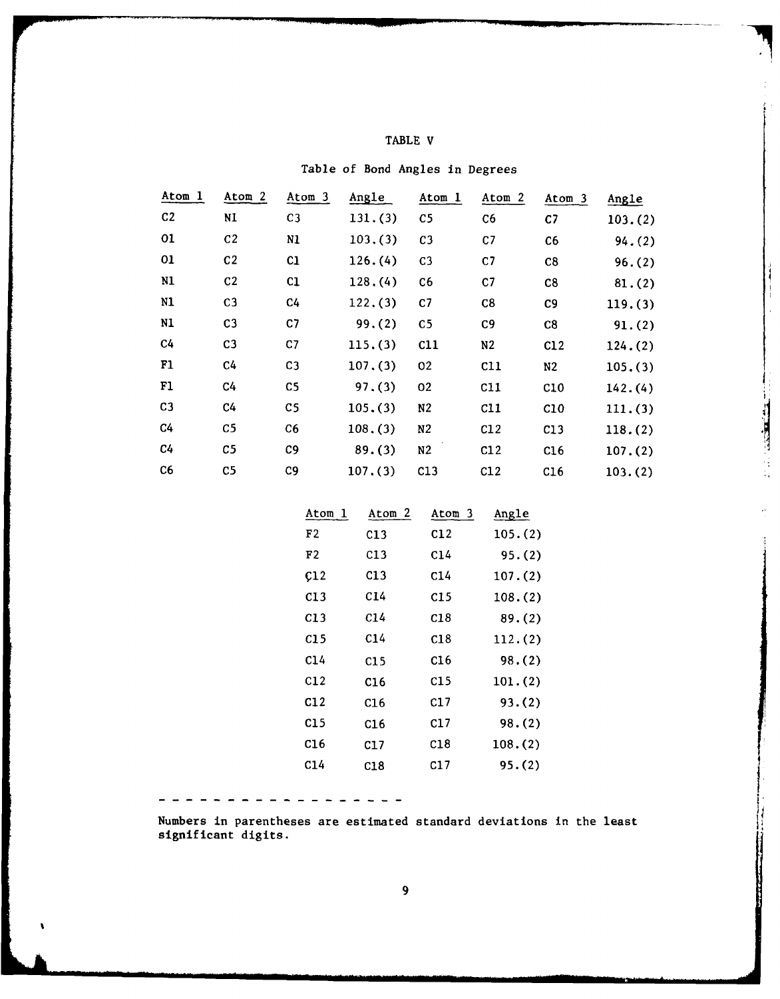| ABL.<br>ш. |  |
|------------|--|
|------------|--|

| Atom 1         | Atom <sub>2</sub> | Atom 3         | Angle   | Atom 1         | Atom 2         | Atom 3         | Angle   |          |
|----------------|-------------------|----------------|---------|----------------|----------------|----------------|---------|----------|
| C <sub>2</sub> | N1                | C <sub>3</sub> | 131.(3) | C <sub>5</sub> | C6             | C <sub>7</sub> | 103.(2) |          |
| 01             | C <sub>2</sub>    | N1             | 103.(3) | C <sub>3</sub> | C <sub>7</sub> | C6             | 94. (2) |          |
| 01             | C <sub>2</sub>    | C1             | 126.(4) | C <sub>3</sub> | C <sub>7</sub> | C8             | 96.(2)  |          |
| N1             | C <sub>2</sub>    | C1             | 128.(4) | C6             | C <sub>7</sub> | C8             | 81.(2)  |          |
| N1             | C <sub>3</sub>    | C <sub>4</sub> | 122.(3) | C <sub>7</sub> | C8             | C <sub>9</sub> | 119.(3) |          |
| N1             | C <sub>3</sub>    | C7             | 99.(2)  | C <sub>5</sub> | C9             | C8             | 91.(2)  |          |
| C <sub>4</sub> | C <sub>3</sub>    | C7             | 115.(3) | C11            | N <sub>2</sub> | C12            | 124.(2) |          |
| F1             | C <sub>4</sub>    | C <sub>3</sub> | 107.(3) | 02             | C11            | N <sub>2</sub> | 105.(3) |          |
| F1             | C4                | C <sub>5</sub> | 97.(3)  | 02             | C11            | C10            | 142.(4) |          |
| C <sub>3</sub> | C <sub>4</sub>    | C <sub>5</sub> | 105.(3) | N <sub>2</sub> | C11            | C10            | 111.(3) |          |
| C <sub>4</sub> | C <sub>5</sub>    | C6             | 108.(3) | N <sub>2</sub> | C12            | C13            | 118.(2) | تشاهدهما |
| C <sub>4</sub> | C <sub>5</sub>    | C <sub>9</sub> | 89.(3)  | N2             | C12            | C16            | 107.(2) |          |
| C6             | C <sub>5</sub>    | C <sub>9</sub> | 107.(3) | C13            | C12            | C16            | 103.(2) |          |

|  |  |  |  |  | Table of Bond Angles in Degrees |
|--|--|--|--|--|---------------------------------|
|--|--|--|--|--|---------------------------------|

| Atom l | Atom<br>2       | Atom<br>-3 | Angle   |
|--------|-----------------|------------|---------|
| F2     | C13             | C12        | 105.(2) |
| F2     | C13             | C14        | 95.(2)  |
| Ç12    | C13             | C14        | 107.(2) |
| C13    | C14             | C15        | 108.(2) |
| C13    | C14             | C18        | 89.(2)  |
| C15    | C14             | C18        | 112.(2) |
| C14    | C15             | C16        | 98.(2)  |
| C12    | C <sub>16</sub> | C15        | 101.(2) |
| C12    | C16             | C17        | 93.(2)  |
| C15    | C16             | C17        | 98.(2)  |
| C16    | C17             | C18        | 108.(2) |
| C14    | C18             | C17        | 95.(2)  |
|        |                 |            |         |
|        |                 |            |         |

Numbers in parentheses are estimated standard deviations in the least significant digits.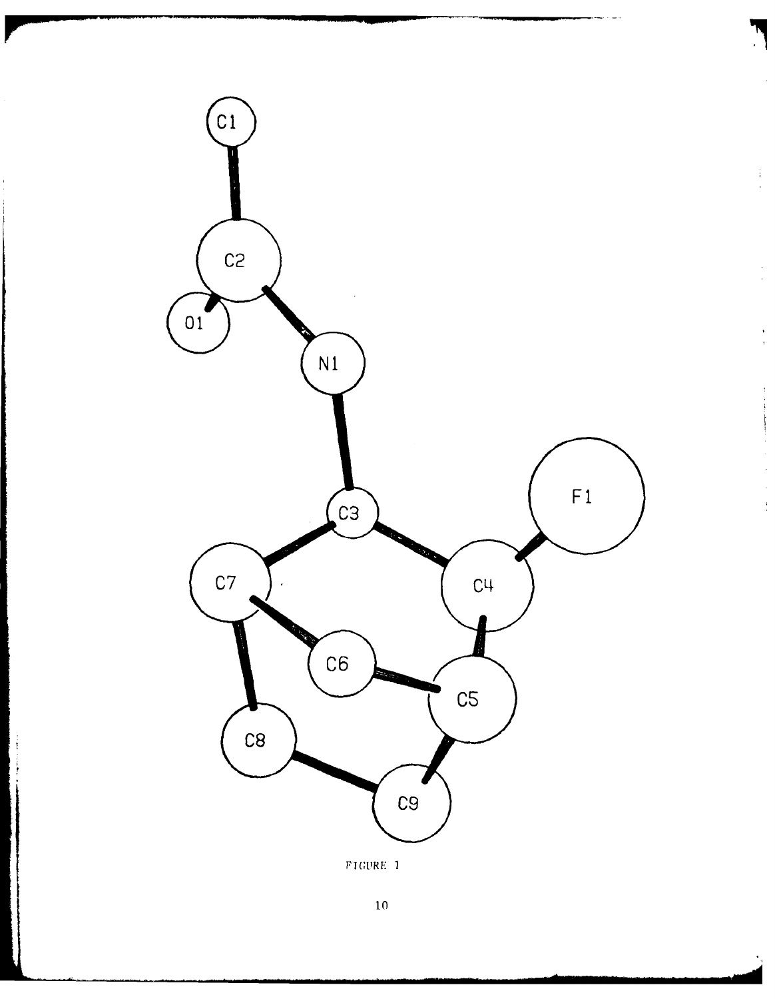

 $\frac{1}{2}$ 

 $\frac{1}{2}$ 

 $\ddot{\phantom{1}}$ 

 $\bar{z}$  $\frac{1}{2}$ 

 $\overline{10}$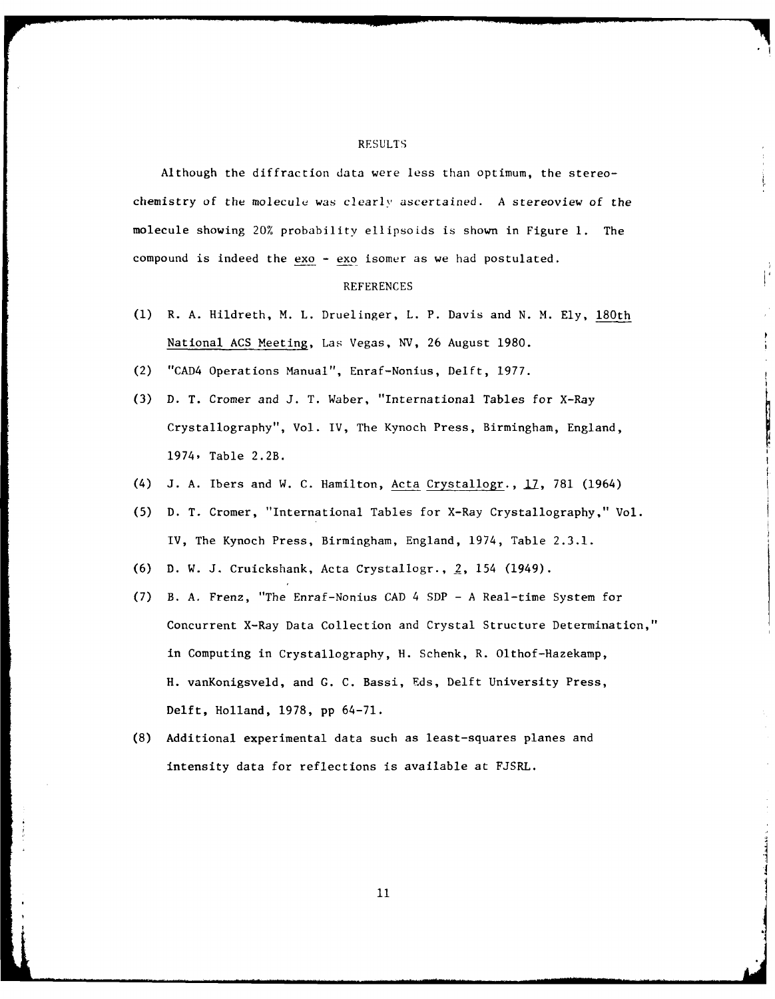#### RESULTS

Although the diffraction data were less than optimum, the stereochemistry of the molecule was clearly ascertained. A stereoview of the molecule showing 20% probability ellipsoids is shown in Figure **1.** The compound is indeed the exo - exo isomer as we had postulated.

#### REFERENCES

- **(1)** R. A. Hildreth, M. L. Druelinger, L. P. Davis and N. M. Ely, 180th National ACS Meeting, Las Vegas, NV, 26 August 1980.
- (2) "CAD4 Operations Manual", Enraf-Nonius, Delft, 1977.
- (3) D. T. Cromer and J. T. Waber, "International Tables for X-Ray Crystallography", Vol. IV, The Kynoch Press, Birmingham, England, 1974, Table 2.2B.
- (4) J. A. Ibers and W. C. Hamilton, Acta Crystallogr., I7, 781 (1964)
- (5) D. T. Cromer, "International Tables for X-Ray Crystallography," Vol. IV, The Kynoch Press, Birmingham, England, 1974, Table 2.3.1.
- (6) D. W. J. Cruickshank, Acta Crystallogr., 2, 154 (1949).
- (7) B. A. Frenz, "The Enraf-Nonius CAD 4 SDP A Real-time System for Concurrent X-Ray Data Collection and Crystal Structure Determination," in Computing in Crystallography, H. Schenk, R. Olthof-Hazekamp, H. vanKonigsveld, and **G.** C. Bassi, Eds, Delft University Press, Delft, Holland, 1978, pp 64-71.
- (8) Additional experimental data such as least-squares planes and intensity data for reflections is available at FJSRL.